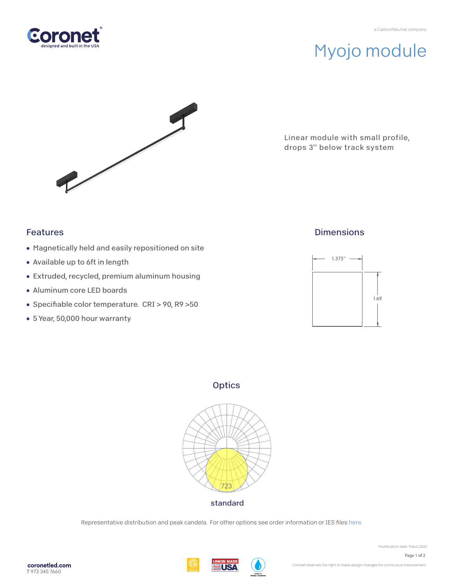

# Myojo module



Linear module with small profile, drops 3'' below track system

### Features

- Magnetically held and easily repositioned on site
- Available up to 6ft in length
- Extruded, recycled, premium aluminum housing
- Aluminum core LED boards
- Specifiable color temperature. CRI > 90, R9 >50
- 5 Year, 50,000 hour warranty

### **Dimensions**



**Optics** 



Representative distribution and peak candela. For other options see order information or IES files here.

**WEUSA** 

Modification date: March, 2022